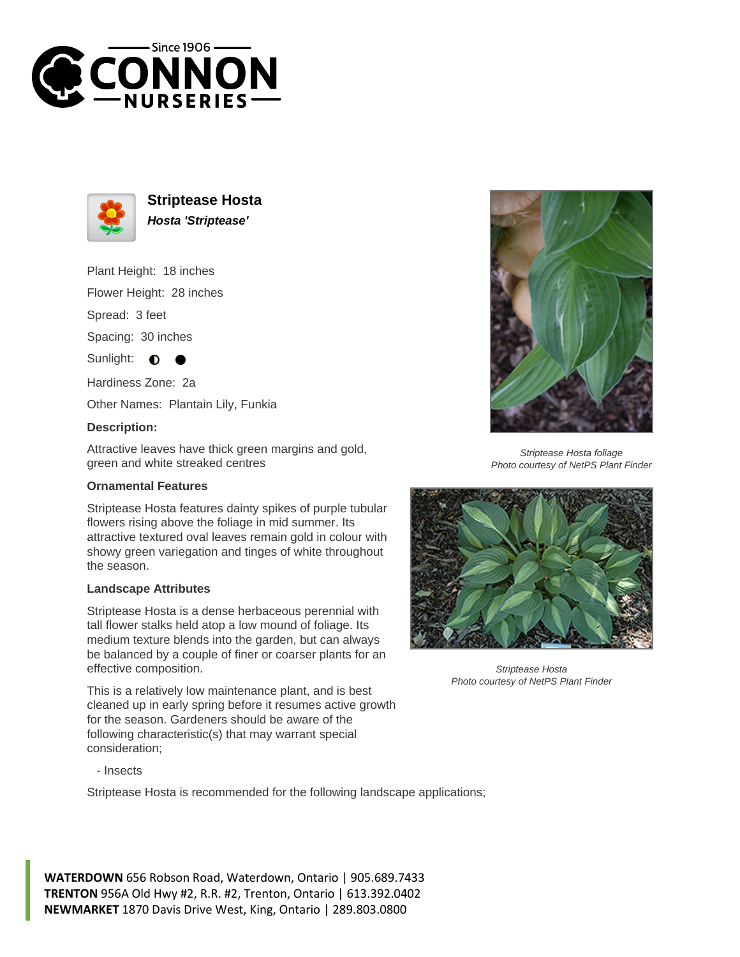



**Striptease Hosta Hosta 'Striptease'**

Plant Height: 18 inches

Flower Height: 28 inches

Spread: 3 feet

Spacing: 30 inches

Sunlight:  $\bullet$ 

Hardiness Zone: 2a

Other Names: Plantain Lily, Funkia

## **Description:**

Attractive leaves have thick green margins and gold, green and white streaked centres

## **Ornamental Features**

Striptease Hosta features dainty spikes of purple tubular flowers rising above the foliage in mid summer. Its attractive textured oval leaves remain gold in colour with showy green variegation and tinges of white throughout the season.

## **Landscape Attributes**

Striptease Hosta is a dense herbaceous perennial with tall flower stalks held atop a low mound of foliage. Its medium texture blends into the garden, but can always be balanced by a couple of finer or coarser plants for an effective composition.

This is a relatively low maintenance plant, and is best cleaned up in early spring before it resumes active growth for the season. Gardeners should be aware of the following characteristic(s) that may warrant special consideration;

- Insects

Striptease Hosta is recommended for the following landscape applications;

**WATERDOWN** 656 Robson Road, Waterdown, Ontario | 905.689.7433 **TRENTON** 956A Old Hwy #2, R.R. #2, Trenton, Ontario | 613.392.0402 **NEWMARKET** 1870 Davis Drive West, King, Ontario | 289.803.0800



Striptease Hosta foliage Photo courtesy of NetPS Plant Finder



Striptease Hosta Photo courtesy of NetPS Plant Finder